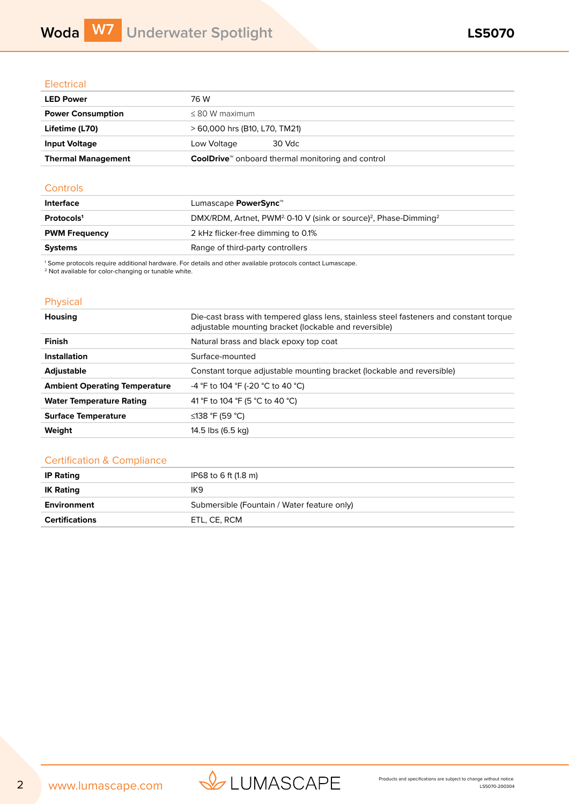## **Electrical**

| <b>LED Power</b>          | 76 W                                                                 |
|---------------------------|----------------------------------------------------------------------|
| <b>Power Consumption</b>  | $< 80 W$ maximum                                                     |
| Lifetime (L70)            | > 60,000 hrs (B10, L70, TM21)                                        |
| <b>Input Voltage</b>      | 30 Vdc<br>Low Voltage                                                |
| <b>Thermal Management</b> | <b>CoolDrive</b> <sup>™</sup> onboard thermal monitoring and control |

### **Controls**

| Interface              | Lumascape <b>PowerSync</b> <sup>™</sup>                                                              |
|------------------------|------------------------------------------------------------------------------------------------------|
| Protocols <sup>1</sup> | DMX/RDM, Artnet, PWM <sup>2,</sup> 0-10 V (sink or source) <sup>2</sup> , Phase-Dimming <sup>2</sup> |
| <b>PWM Frequency</b>   | 2 kHz flicker-free dimming to 0.1%                                                                   |
| <b>Systems</b>         | Range of third-party controllers                                                                     |

1 Some protocols require additional hardware. For details and other available protocols contact Lumascape.

<sup>2</sup> Not available for color-changing or tunable white.

# Physical

| <b>Housing</b>                       | Die-cast brass with tempered glass lens, stainless steel fasteners and constant torque<br>adjustable mounting bracket (lockable and reversible) |
|--------------------------------------|-------------------------------------------------------------------------------------------------------------------------------------------------|
| <b>Finish</b>                        | Natural brass and black epoxy top coat                                                                                                          |
| <b>Installation</b>                  | Surface-mounted                                                                                                                                 |
| <b>Adjustable</b>                    | Constant torque adjustable mounting bracket (lockable and reversible)                                                                           |
| <b>Ambient Operating Temperature</b> | -4 °F to 104 °F (-20 °C to 40 °C)                                                                                                               |
| <b>Water Temperature Rating</b>      | 41 °F to 104 °F (5 °C to 40 °C)                                                                                                                 |
| <b>Surface Temperature</b>           | ≤138 °F (59 °C)                                                                                                                                 |
| Weight                               | 14.5 lbs (6.5 kg)                                                                                                                               |
|                                      |                                                                                                                                                 |

## Certification & Compliance

| <b>IP Rating</b>      | IP68 to 6 ft (1.8 m)                        |
|-----------------------|---------------------------------------------|
| <b>IK Rating</b>      | IK <sub>9</sub>                             |
| Environment           | Submersible (Fountain / Water feature only) |
| <b>Certifications</b> | ETL. CE. RCM                                |

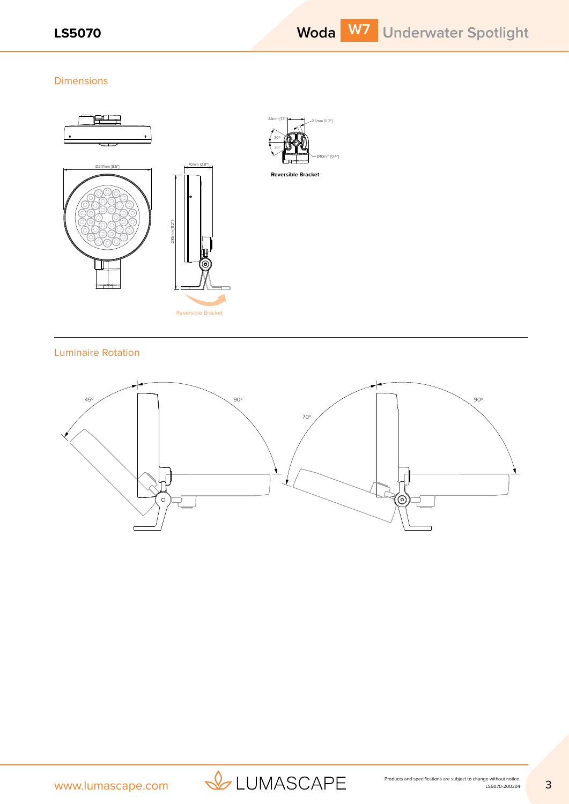## Dimensions



# Luminaire Rotation



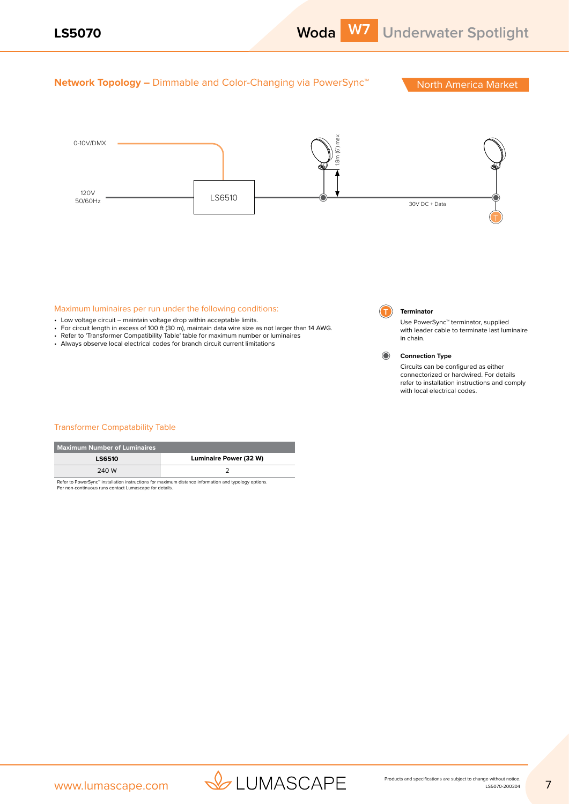

# **Network Topology –** Dimmable and Color-Changing via PowerSync<sup>™</sup> North America Market



### Maximum luminaires per run under the following conditions:

- Low voltage circuit maintain voltage drop within acceptable limits.
- For circuit length in excess of 100 ft (30 m), maintain data wire size as not larger than 14 AWG.
- Refer to 'Transformer Compatibility Table' table for maximum number or luminaires
- Always observe local electrical codes for branch circuit current limitations

# **T Terminator**

Use PowerSync™ terminator, supplied with leader cable to terminate last luminaire in chain.



Circuits can be configured as either connectorized or hardwired. For details refer to installation instructions and comply with local electrical codes.

### Transformer Compatability Table

| <b>Maximum Number of Luminaires</b> |                                                                                                     |
|-------------------------------------|-----------------------------------------------------------------------------------------------------|
| <b>LS6510</b>                       | Luminaire Power (32 W)                                                                              |
| 240 W                               |                                                                                                     |
|                                     | Refer to PowerSync™ installation instructions for maximum distance information and typology options |

Refer to PowerSync™ installation instructions for maximum distance information and typology options. For non-continuous runs contact Lumascape for details.



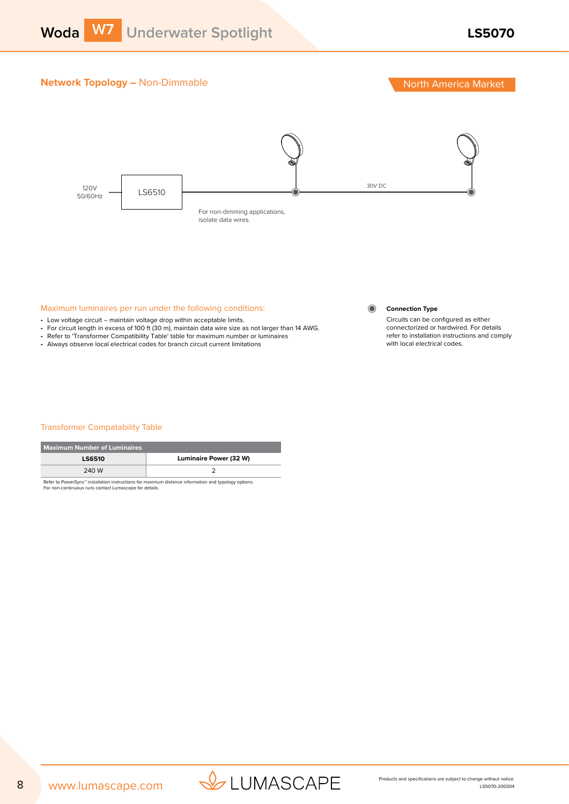# **Network Topology – Non-Dimmable North America Market North America Market**



## Maximum luminaires per run under the following conditions:

- Low voltage circuit maintain voltage drop within acceptable limits.
- For circuit length in excess of 100 ft (30 m), maintain data wire size as not larger than 14 AWG.
- Refer to 'Transformer Compatibility Table' table for maximum number or luminaires
- Always observe local electrical codes for branch circuit current limitations

### **Connection Type**

 $\odot$ 

Circuits can be configured as either connectorized or hardwired. For details refer to installation instructions and comply with local electrical codes.

### Transformer Compatability Table

| <b>Maximum Number of Luminaires</b> |                                                                                                              |  |
|-------------------------------------|--------------------------------------------------------------------------------------------------------------|--|
| <b>LS6510</b>                       | <b>Luminaire Power (32 W)</b>                                                                                |  |
| 240 W                               |                                                                                                              |  |
|                                     | Batanga, Barriago and baggaillated baggaiged to a famountainment depended batangaged and grand law constance |  |

Refer to PowerSync™ installation instructions for maximum distance information and typology options. For non-continuous runs contact Lumascape for details.